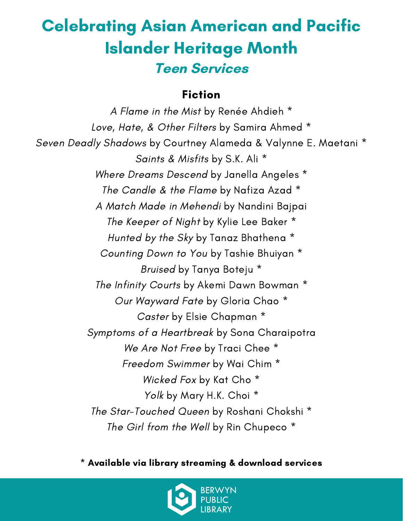#### Fiction

A Flame in the Mist by Renée Ahdieh \* Love, Hate, & Other Filters by Samira Ahmed \* Seven Deadly Shadows by Courtney Alameda & Valynne E. Maetani \* Saints & Misfits by S.K. Ali \* Where Dreams Descend by Janella Angeles \* The Candle & the Flame by Nafiza Azad \* A Match Made in Mehendi by Nandini Bajpai The Keeper of Night by Kylie Lee Baker \* Hunted by the Sky by Tanaz Bhathena \* Counting Down to You by Tashie Bhuiyan \* Bruised by Tanya Boteju \* The Infinity Courts by Akemi Dawn Bowman \* Our Wayward Fate by Gloria Chao \* Caster by Elsie Chapman \* Symptoms of a Heartbreak by Sona Charaipotra We Are Not Free by Traci Chee  $*$ Freedom Swimmer by Wai Chim \* Wicked Fox by Kat Cho \* Yolk by Mary H.K. Choi \* The Star-Touched Queen by Roshani Chokshi \* The Girl from the Well by Rin Chupeco \*

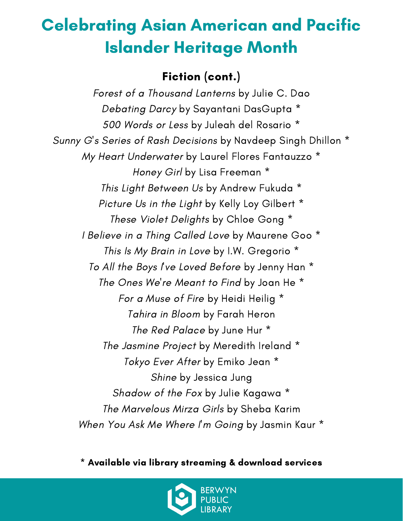#### Fiction (cont.)

Forest of a Thousand Lanterns by Julie C. Dao Debating Darcy by Sayantani DasGupta \* 500 Words or Less by Juleah del Rosario \* Sunny G's Series of Rash Decisions by Navdeep Singh Dhillon \* My Heart Underwater by Laurel Flores Fantauzzo \* Honey Girl by Lisa Freeman \* This Light Between Us by Andrew Fukuda \* Picture Us in the Light by Kelly Loy Gilbert \* These Violet Delights by Chloe Gong \* I Believe in a Thing Called Love by Maurene Goo \* This Is My Brain in Love by I.W. Gregorio \* To All the Boys I've Loved Before by Jenny Han \* The Ones We're Meant to Find by Joan He \* For a Muse of Fire by Heidi Heilig \* Tahira in Bloom by Farah Heron The Red Palace by June Hur \* The Jasmine Project by Meredith Ireland \* Tokyo Ever After by Emiko Jean \* Shine by Jessica Jung Shadow of the Fox by Julie Kagawa \* The Marvelous Mirza Girls by Sheba Karim When You Ask Me Where I'm Going by Jasmin Kaur \*

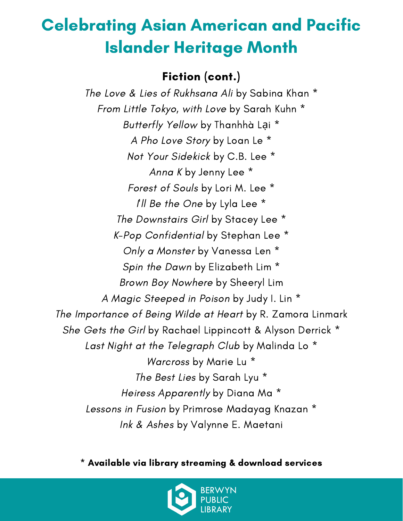#### Fiction (cont.)

The Love & Lies of Rukhsana Ali by Sabina Khan \* From Little Tokyo, with Love by Sarah Kuhn \* Butterfly Yellow by Thanhhà Lai<sup>\*</sup> A Pho Love Story by Loan Le \* Not Your Sidekick by C.B. Lee \* Anna K by Jenny Lee \* Forest of Souls by Lori M. Lee \* I'll Be the One by Lyla Lee \* The Downstairs Girl by Stacey Lee \* K-Pop Confidential by Stephan Lee \* Only a Monster by Vanessa Len \* Spin the Dawn by Elizabeth Lim \* Brown Boy Nowhere by Sheeryl Lim A Magic Steeped in Poison by Judy I. Lin \* The Importance of Being Wilde at Heart by R. Zamora Linmark She Gets the Girl by Rachael Lippincott & Alyson Derrick \* Last Night at the Telegraph Club by Malinda Lo<sup>\*</sup> Warcross by Marie Lu \* The Best Lies by Sarah Lyu \* Heiress Apparently by Diana Ma \* Lessons in Fusion by Primrose Madayag Knazan \* Ink & Ashes by Valynne E. Maetani

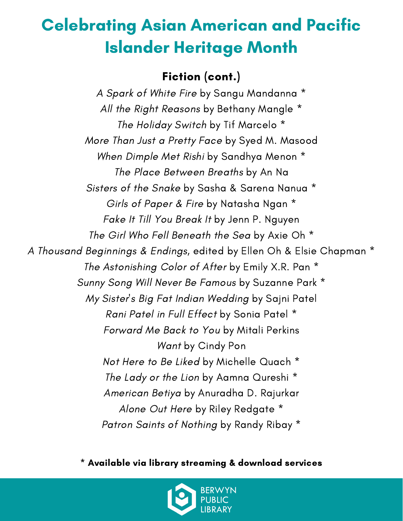#### Fiction (cont.)

A Spark of White Fire by Sangu Mandanna \* All the Right Reasons by Bethany Mangle \* The Holiday Switch by Tif Marcelo \* More Than Just a Pretty Face by Syed M. Masood When Dimple Met Rishi by Sandhya Menon \* The Place Between Breaths by An Na Sisters of the Snake by Sasha & Sarena Nanua \* Girls of Paper & Fire by Natasha Ngan \* Fake It Till You Break It by Jenn P. Nguyen The Girl Who Fell Beneath the Sea by Axie Oh \* A Thousand Beginnings & Endings, edited by Ellen Oh & Elsie Chapman \* The Astonishing Color of After by Emily X.R. Pan \* Sunny Song Will Never Be Famous by Suzanne Park \* My Sister's Big Fat Indian Wedding by Sajni Patel Rani Patel in Full Effect by Sonia Patel \* Forward Me Back to You by Mitali Perkins Want by Cindy Pon Not Here to Be Liked by Michelle Quach \* The Lady or the Lion by Aamna Qureshi \* American Betiya by Anuradha D. Rajurkar Alone Out Here by Riley Redgate \* Patron Saints of Nothing by Randy Ribay \*

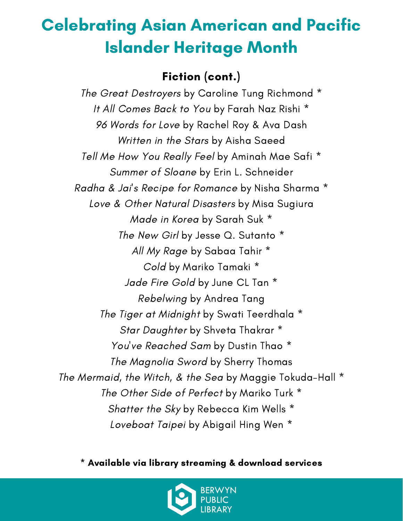#### Fiction (cont.)

The Great Destroyers by Caroline Tung Richmond \* It All Comes Back to You by Farah Naz Rishi \* 96 Words for Love by Rachel Roy & Ava Dash Written in the Stars by Aisha Saeed Tell Me How You Really Feel by Aminah Mae Safi \* Summer of Sloane by Erin L. Schneider Radha & Jai's Recipe for Romance by Nisha Sharma \* Love & Other Natural Disasters by Misa Sugiura Made in Korea by Sarah Suk \* The New Girl by Jesse Q. Sutanto \* All My Rage by Sabaa Tahir \* Cold by Mariko Tamaki \* Jade Fire Gold by June CL Tan \* Rebelwing by Andrea Tang The Tiger at Midnight by Swati Teerdhala \* Star Daughter by Shveta Thakrar \* You've Reached Sam by Dustin Thao \* The Magnolia Sword by Sherry Thomas The Mermaid, the Witch, & the Sea by Maggie Tokuda-Hall \* The Other Side of Perfect by Mariko Turk \* Shatter the Sky by Rebecca Kim Wells \* Loveboat Taipei by Abigail Hing Wen \*

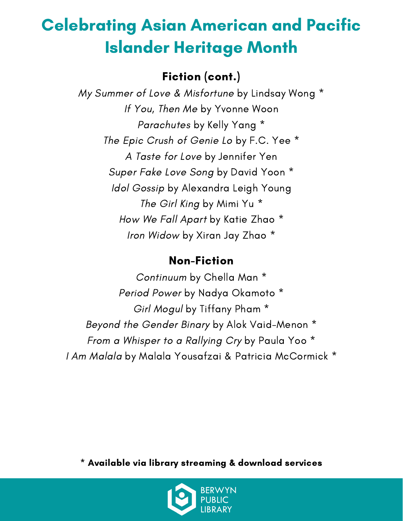### Fiction (cont.)

My Summer of Love & Misfortune by Lindsay Wong \* If You, Then Me by Yvonne Woon Parachutes by Kelly Yang \* The Epic Crush of Genie Lo by F.C. Yee \* A Taste for Love by Jennifer Yen Super Fake Love Song by David Yoon \* Idol Gossip by Alexandra Leigh Young The Girl King by Mimi Yu \* How We Fall Apart by Katie Zhao \* Iron Widow by Xiran Jay Zhao \*

#### Non-Fiction

Continuum by Chella Man \* Period Power by Nadya Okamoto \* Girl Mogul by Tiffany Pham \* Beyond the Gender Binary by Alok Vaid-Menon \* From a Whisper to a Rallying Cry by Paula Yoo \* I Am Malala by Malala Yousafzai & Patricia McCormick \*